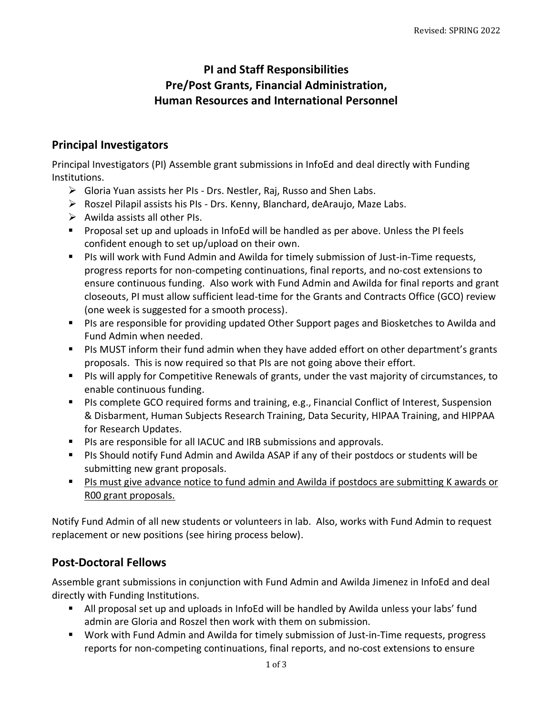# **PI and Staff Responsibilities Pre/Post Grants, Financial Administration, Human Resources and International Personnel**

## **Principal Investigators**

Principal Investigators (PI) Assemble grant submissions in InfoEd and deal directly with Funding Institutions.

- $\triangleright$  Gloria Yuan assists her PIs Drs. Nestler, Raj, Russo and Shen Labs.
- $\triangleright$  Roszel Pilapil assists his PIs Drs. Kenny, Blanchard, deAraujo, Maze Labs.
- $\triangleright$  Awilda assists all other PIs.
- Proposal set up and uploads in InfoEd will be handled as per above. Unless the PI feels confident enough to set up/upload on their own.
- PIs will work with Fund Admin and Awilda for timely submission of Just-in-Time requests, progress reports for non-competing continuations, final reports, and no-cost extensions to ensure continuous funding. Also work with Fund Admin and Awilda for final reports and grant closeouts, PI must allow sufficient lead-time for the Grants and Contracts Office (GCO) review (one week is suggested for a smooth process).
- PIs are responsible for providing updated Other Support pages and Biosketches to Awilda and Fund Admin when needed.
- PIs MUST inform their fund admin when they have added effort on other department's grants proposals. This is now required so that PIs are not going above their effort.
- PIs will apply for Competitive Renewals of grants, under the vast majority of circumstances, to enable continuous funding.
- PIs complete GCO required forms and training, e.g., Financial Conflict of Interest, Suspension & Disbarment, Human Subjects Research Training, Data Security, HIPAA Training, and HIPPAA for Research Updates.
- PIs are responsible for all IACUC and IRB submissions and approvals.
- PIs Should notify Fund Admin and Awilda ASAP if any of their postdocs or students will be submitting new grant proposals.
- PIs must give advance notice to fund admin and Awilda if postdocs are submitting K awards or R00 grant proposals.

Notify Fund Admin of all new students or volunteers in lab. Also, works with Fund Admin to request replacement or new positions (see hiring process below).

## **Post-Doctoral Fellows**

Assemble grant submissions in conjunction with Fund Admin and Awilda Jimenez in InfoEd and deal directly with Funding Institutions.

- All proposal set up and uploads in InfoEd will be handled by Awilda unless your labs' fund admin are Gloria and Roszel then work with them on submission.
- Work with Fund Admin and Awilda for timely submission of Just-in-Time requests, progress reports for non-competing continuations, final reports, and no-cost extensions to ensure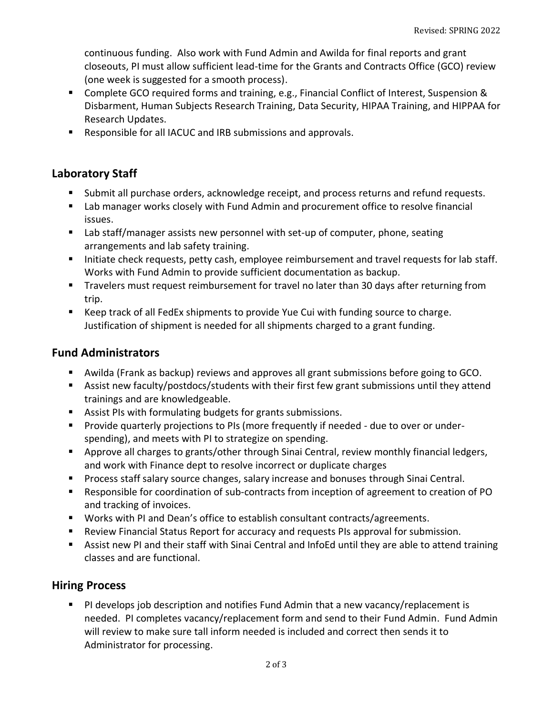continuous funding. Also work with Fund Admin and Awilda for final reports and grant closeouts, PI must allow sufficient lead-time for the Grants and Contracts Office (GCO) review (one week is suggested for a smooth process).

- Complete GCO required forms and training, e.g., Financial Conflict of Interest, Suspension & Disbarment, Human Subjects Research Training, Data Security, HIPAA Training, and HIPPAA for Research Updates.
- Responsible for all IACUC and IRB submissions and approvals.

## **Laboratory Staff**

- Submit all purchase orders, acknowledge receipt, and process returns and refund requests.
- Lab manager works closely with Fund Admin and procurement office to resolve financial issues.
- Lab staff/manager assists new personnel with set-up of computer, phone, seating arrangements and lab safety training.
- **E** Initiate check requests, petty cash, employee reimbursement and travel requests for lab staff. Works with Fund Admin to provide sufficient documentation as backup.
- Travelers must request reimbursement for travel no later than 30 days after returning from trip.
- Keep track of all FedEx shipments to provide Yue Cui with funding source to charge. Justification of shipment is needed for all shipments charged to a grant funding.

## **Fund Administrators**

- Awilda (Frank as backup) reviews and approves all grant submissions before going to GCO.
- Assist new faculty/postdocs/students with their first few grant submissions until they attend trainings and are knowledgeable.
- Assist PIs with formulating budgets for grants submissions.
- Provide quarterly projections to PIs (more frequently if needed due to over or underspending), and meets with PI to strategize on spending.
- Approve all charges to grants/other through Sinai Central, review monthly financial ledgers, and work with Finance dept to resolve incorrect or duplicate charges
- Process staff salary source changes, salary increase and bonuses through Sinai Central.
- Responsible for coordination of sub-contracts from inception of agreement to creation of PO and tracking of invoices.
- Works with PI and Dean's office to establish consultant contracts/agreements.
- Review Financial Status Report for accuracy and requests PIs approval for submission.
- Assist new PI and their staff with Sinai Central and InfoEd until they are able to attend training classes and are functional.

## **Hiring Process**

■ PI develops job description and notifies Fund Admin that a new vacancy/replacement is needed. PI completes vacancy/replacement form and send to their Fund Admin. Fund Admin will review to make sure tall inform needed is included and correct then sends it to Administrator for processing.